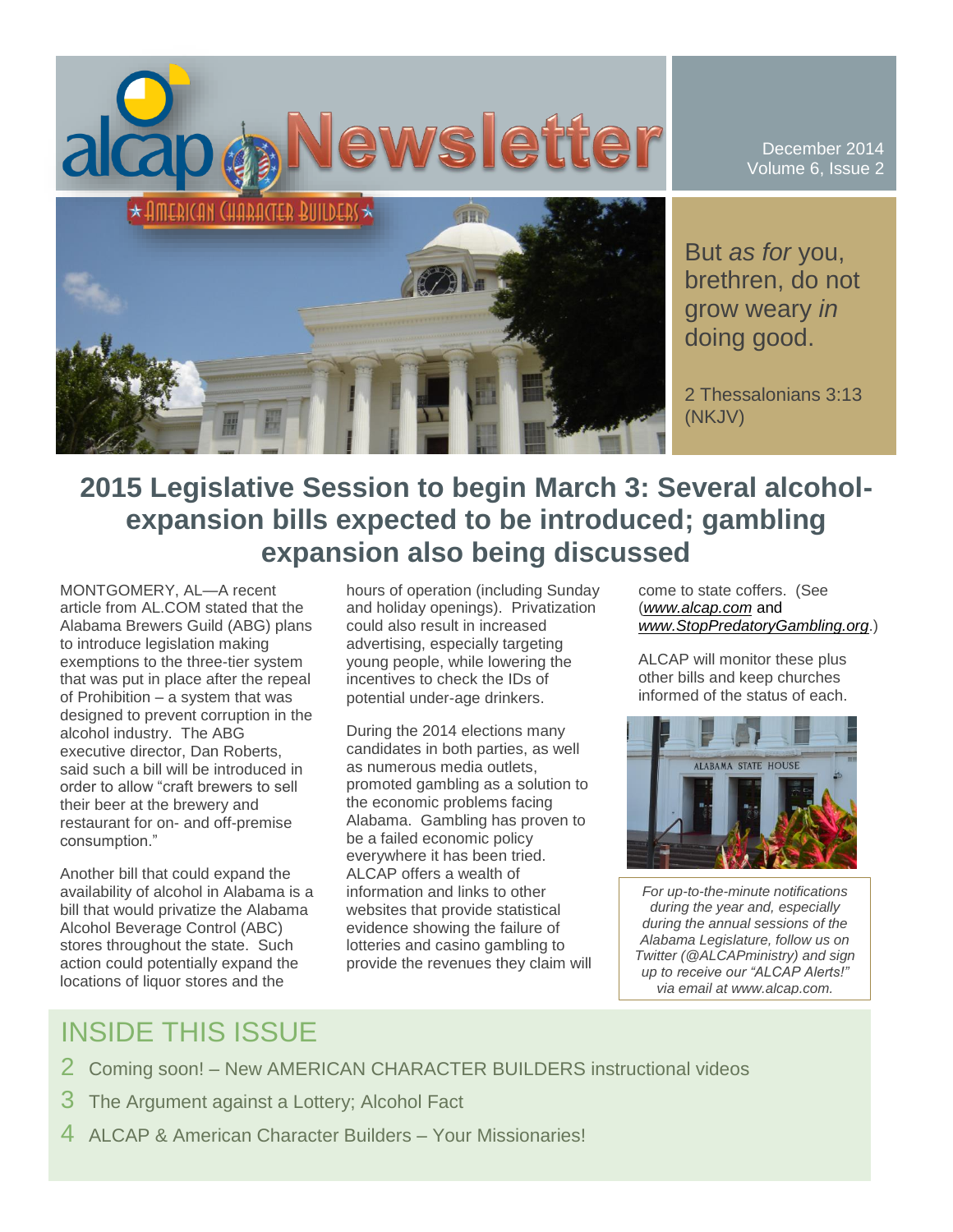

December 2014 Volume 6, Issue 2

But *as for* you, brethren, do not grow weary *in* doing good.

2 Thessalonians 3:13 (NKJV)

# **2015 Legislative Session to begin March 3: Several alcoholexpansion bills expected to be introduced; gambling expansion also being discussed**

MONTGOMERY, AL—A recent article from AL.COM stated that the Alabama Brewers Guild (ABG) plans to introduce legislation making exemptions to the three-tier system that was put in place after the repeal of Prohibition – a system that was designed to prevent corruption in the alcohol industry. The ABG executive director, Dan Roberts, said such a bill will be introduced in order to allow "craft brewers to sell their beer at the brewery and restaurant for on- and off-premise consumption."

Another bill that could expand the availability of alcohol in Alabama is a bill that would privatize the Alabama Alcohol Beverage Control (ABC) stores throughout the state. Such action could potentially expand the locations of liquor stores and the

hours of operation (including Sunday and holiday openings). Privatization could also result in increased advertising, especially targeting young people, while lowering the incentives to check the IDs of potential under-age drinkers.

During the 2014 elections many candidates in both parties, as well as numerous media outlets, promoted gambling as a solution to the economic problems facing Alabama. Gambling has proven to be a failed economic policy everywhere it has been tried. ALCAP offers a wealth of information and links to other websites that provide statistical evidence showing the failure of lotteries and casino gambling to provide the revenues they claim will come to state coffers. (See (*[www.alcap.com](http://www.alcap.com/)* and *[www.StopPredatoryGambling.org](http://www.stoppredatorygambling.org/)*.)

ALCAP will monitor these plus other bills and keep churches informed of the status of each.



*For up-to-the-minute notifications during the year and, especially during the annual sessions of the Alabama Legislature, follow us on Twitter (@ALCAPministry) and sign up to receive our "ALCAP Alerts!" via email at www.alcap.com.*

# INSIDE THIS ISSUE

- 2 Coming soon! New AMERICAN CHARACTER BUILDERS instructional videos
- 3 The Argument against a Lottery; Alcohol Fact
- 4 ALCAP & American Character Builders Your Missionaries!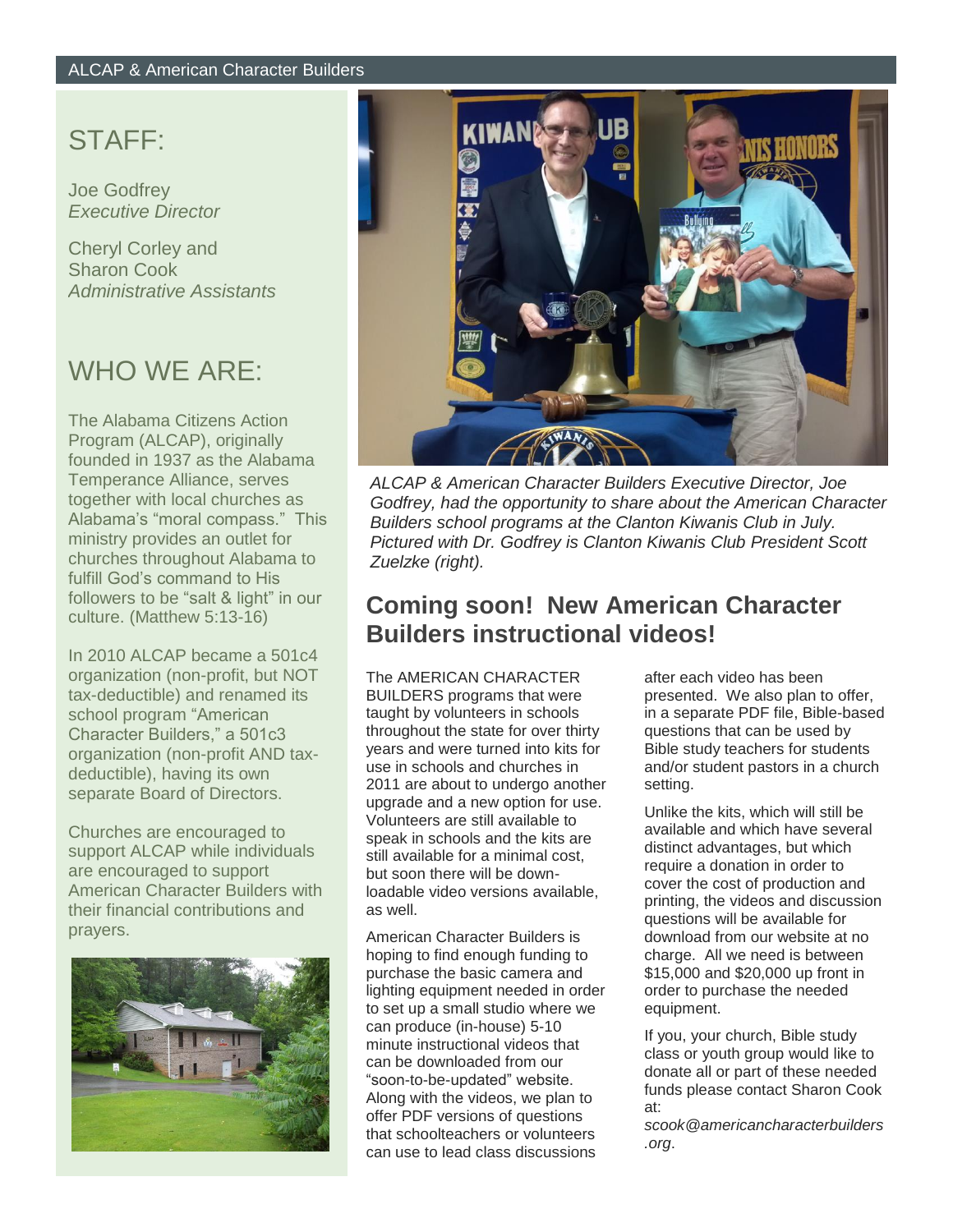## STAFF:

Joe Godfrey *Executive Director*

Cheryl Corley and Sharon Cook *Administrative Assistants*

# WHO WE ARE:

The Alabama Citizens Action Program (ALCAP), originally founded in 1937 as the Alabama Temperance Alliance, serves together with local churches as Alabama's "moral compass." This ministry provides an outlet for churches throughout Alabama to fulfill God's command to His followers to be "salt & light" in our culture. (Matthew 5:13-16)

In 2010 ALCAP became a 501c4 organization (non-profit, but NOT tax-deductible) and renamed its school program "American Character Builders," a 501c3 organization (non-profit AND taxdeductible), having its own separate Board of Directors.

Churches are encouraged to support ALCAP while individuals are encouraged to support American Character Builders with their financial contributions and prayers.





*ALCAP & American Character Builders Executive Director, Joe Godfrey, had the opportunity to share about the American Character Builders school programs at the Clanton Kiwanis Club in July. Pictured with Dr. Godfrey is Clanton Kiwanis Club President Scott Zuelzke (right).*

### **Coming soon! New American Character Builders instructional videos!**

The AMERICAN CHARACTER BUILDERS programs that were taught by volunteers in schools throughout the state for over thirty years and were turned into kits for use in schools and churches in 2011 are about to undergo another upgrade and a new option for use. Volunteers are still available to speak in schools and the kits are still available for a minimal cost, but soon there will be downloadable video versions available, as well.

American Character Builders is hoping to find enough funding to purchase the basic camera and lighting equipment needed in order to set up a small studio where we can produce (in-house) 5-10 minute instructional videos that can be downloaded from our "soon-to-be-updated" website. Along with the videos, we plan to offer PDF versions of questions that schoolteachers or volunteers can use to lead class discussions

after each video has been presented. We also plan to offer, in a separate PDF file, Bible-based questions that can be used by Bible study teachers for students and/or student pastors in a church setting.

Unlike the kits, which will still be available and which have several distinct advantages, but which require a donation in order to cover the cost of production and printing, the videos and discussion questions will be available for download from our website at no charge. All we need is between \$15,000 and \$20,000 up front in order to purchase the needed equipment.

If you, your church, Bible study class or youth group would like to donate all or part of these needed funds please contact Sharon Cook at:

*scook@americancharacterbuilders .org*.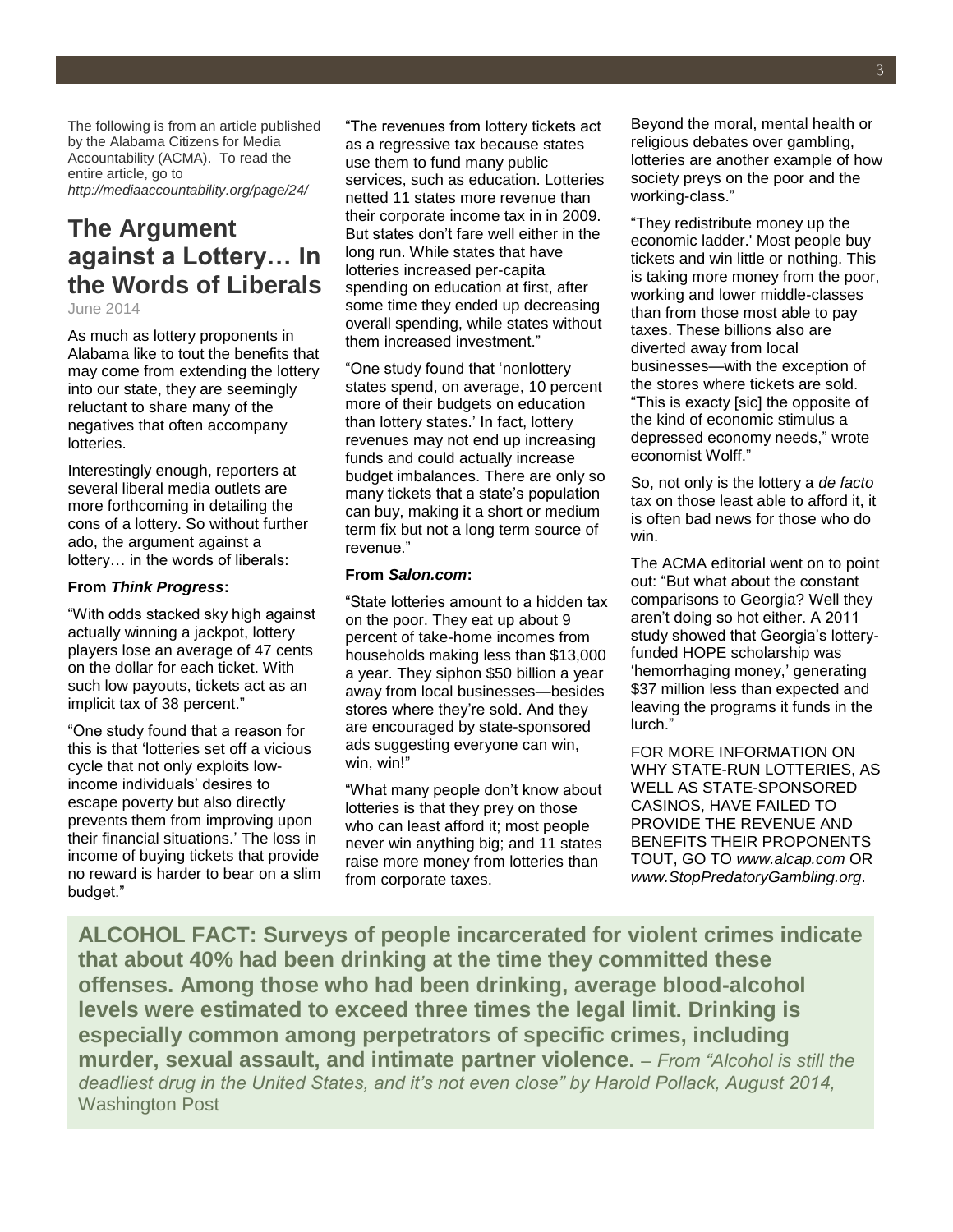The following is from an article published by the Alabama Citizens for Media Accountability (ACMA). To read the entire article, go to *http://mediaaccountability.org/page/24/*

## **The Argument against a Lottery… In the Words of Liberals**

June 2014

As much as lottery proponents in Alabama like to tout the benefits that may come from extending the lottery into our state, they are seemingly reluctant to share many of the negatives that often accompany lotteries.

Interestingly enough, reporters at several liberal media outlets are more forthcoming in detailing the cons of a lottery. So without further ado, the argument against a lottery… in the words of liberals:

#### **From** *Think Progress***:**

"With odds stacked sky high against actually winning a jackpot, lottery players lose an average of 47 cents on the dollar for each ticket. With such low payouts, tickets act as an [implicit tax of 38 percent.](http://blogs.reuters.com/david-cay-johnston/2011/07/15/u-s-lotteries-and-the-state-taxman/)"

"One study found that a reason for this is that 'lotteries set off a vicious cycle that not only exploits lowincome individuals' desires to escape poverty but also directly prevents them from improving upon their financial situations.' The loss in income of buying tickets that provide no reward is harder to bear on a slim budget."

"The revenues from lottery tickets act as a regressive tax because states use them to fund many public services, such as education. Lotteries netted 11 states more revenue than their corporate income tax in in 2009. But states don't fare well either in the long run. While states that have lotteries increased per-capita spending on education at first, after some time they ended up decreasing overall spending, while states without them increased investment."

"One study found that 'nonlottery states spend, on average, 10 percent more of their budgets on education than lottery states.' In fact, lottery revenues may not end up increasing funds and could actually increase budget imbalances. There are only so many tickets that a state's population can buy, making it a short or medium term fix but not a long term source of revenue."

#### **From** *Salon.com***:**

"State lotteries amount to a hidden tax on the poor. They eat up about 9 percent of take-home incomes from households making less than \$13,000 a year. They siphon \$50 billion a year away from local businesses—besides stores where they're sold. And they are encouraged by state-sponsored ads suggesting everyone can win, win, win!"

"What many people don't know about lotteries is that they prey on those who can least afford it; most people never win anything big; and 11 states raise more money from lotteries than from corporate taxes.

Beyond the moral, mental health or religious debates over gambling, lotteries are another example of how society preys on the poor and the working-class."

"They redistribute money up the economic ladder.' Most people buy tickets and win little or nothing. This is taking more money from the poor, working and lower middle-classes than from those most able to pay taxes. These billions also are diverted away from local businesses—with the exception of the stores where tickets are sold. "This is exacty [sic] the opposite of the kind of economic stimulus a depressed economy needs," wrote economist Wolff."

So, not only is the lottery a *de facto* tax on those least able to afford it, it is often bad news for those who do win.

The ACMA editorial went on to point out: "But what about the constant comparisons to Georgia? Well they aren't doing so hot either. A 2011 study showed that Georgia's lotteryfunded HOPE scholarship was 'hemorrhaging money,' generating \$37 million less than expected and leaving the programs it funds in the lurch."

FOR MORE INFORMATION ON WHY STATE-RUN LOTTERIES, AS WELL AS STATE-SPONSORED CASINOS, HAVE FAILED TO PROVIDE THE REVENUE AND BENEFITS THEIR PROPONENTS TOUT, GO TO *www.alcap.com* OR *www.StopPredatoryGambling.org*.

**ALCOHOL FACT: Surveys of people incarcerated for violent crimes indicate that about 40% had been drinking at the time they committed these offenses. Among those who had been drinking, average blood-alcohol levels were estimated to exceed three times the legal limit. Drinking is especially common among perpetrators of specific crimes, including murder, sexual assault, and intimate partner violence.** – *From "Alcohol is still the deadliest drug in the United States, and it's not even close" by Harold Pollack, August 2014,*  Washington Post